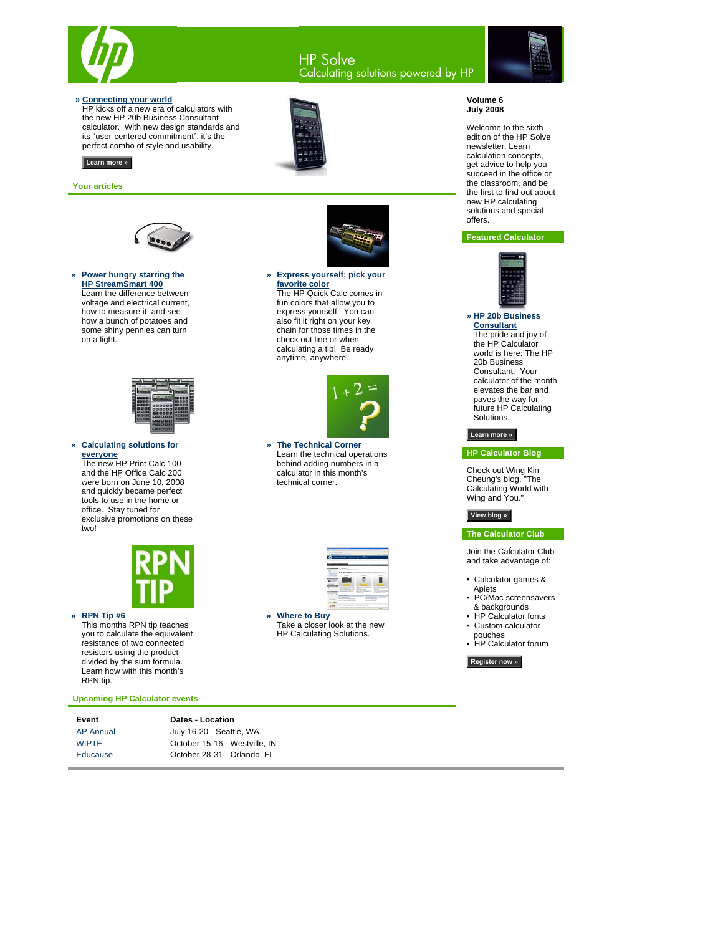

# HP Solve<br>Calculating solutions powered by HP



#### **» Connecting your world**

HP kicks off a new era of calculators with the new HP 20b Business Consultant [calculator. With new design standards and](#page-1-0)  its "user-centered commitment", it's the perfect combo of style and usability.



### **Learn more »**

#### **Your articles**



#### **» Power hungry starring the HP StreamSmart 400** Learn the difference between [voltage and electrical current,](#page-6-0)  how to measure it, and see how a bunch of potatoes and some shiny pennies can turn on a light.



**» Calculating solutions for everyone** The new HP Print Calc 100

and the HP Office Calc 200 were born on June 10, 2008 and quickly became perfect tools to use in the home or office. Stay tuned for [exclusive promotions on these](#page-10-0)  two!



### **» RPN Tip #6**

This months RPN tip teaches [you to calculate the equivalent](#page-4-0)  resistance of two connected resistors using the product divided by the sum formula. Learn how with this month's RPN tip.

**Upcoming HP Calculator events**

| <b>Dates - Location</b>       |  |  |  |  |
|-------------------------------|--|--|--|--|
| July 16-20 - Seattle, WA      |  |  |  |  |
| October 15-16 - Westville, IN |  |  |  |  |
| October 28-31 - Orlando, FL   |  |  |  |  |
|                               |  |  |  |  |



#### **» [Express yourself; pick your](#page-9-0)  favorite color** The HP Quick Calc comes in fun colors that allow you to express yourself. You can also fit it right on your key chain for those times in the check out line or when calculating a tip! Be ready anytime, anywhere.



**» The Technical Corner** [Learn the technical operations](#page-11-0)  behind adding numbers in a calculator in this month's technical corner.



**» Where to Buy** [Take a closer look at the new](http://www.shopping.hp.com/calculator?jumpid=em_edm/us/jul08/smb/psg/hp-calc-enl/mrm/mcc/loc/handhelds/wherebuy)  HP Calculating Solutions.

#### **Volume 6 July 2008**

Welcome to the sixth edition of the HP Solve newsletter. Learn calculation concepts, get advice to help you succeed in the office or the classroom, and be the first to find out about new HP calculating solutions and special offers.

### **Featured Calculator**



**» HP 20b Business Consultant** The pride and joy of the HP Calculator world is here: The HP 20b Business Consultant. Your [calculator of the month](#page-3-0)  elevates the bar and paves the way for future HP Calculating Solutions.

### **Learn more »**

#### **HP Calculator Blog**

Check out Wing Kin Cheung's blog, "The Calculating World with Wing and You."

### **[View blog »](http://h20325.www2.hp.com/blogs/cheung)**

**The Calculator Club**

Join the Calculator Club and take advantage of:

- Calculator games & Aplets
- PC/Mac screensavers
- & backgrounds • HP Calculator fonts
- Custom calculator
- pouches • HP Calculator forum

**[Register now »](http://h30248.www3.hp.com/calcclub/?jumpid=em_edm/us/jul08/smb/psg/hp-calc-enl/mrm/mcc/loc/handhelds/calc-club)**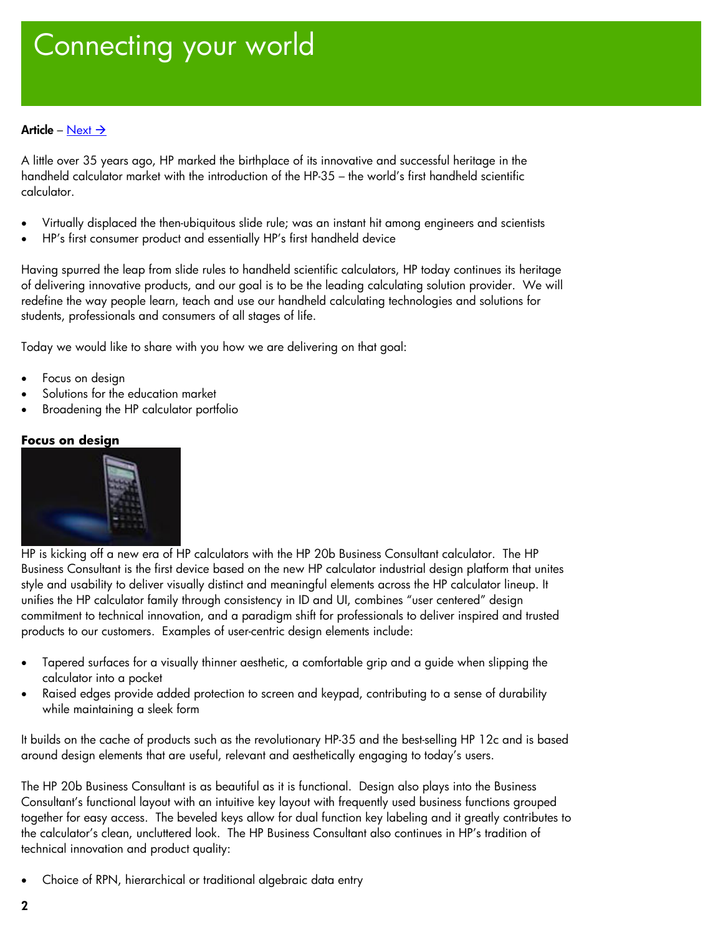# <span id="page-1-1"></span><span id="page-1-0"></span>Connecting your world

# Article – [Next](#page-3-1)  $\rightarrow$

A little over 35 years ago, HP marked the birthplace of its innovative and successful heritage in the handheld calculator market with the introduction of the HP-35 – the world's first handheld scientific calculator.

- Virtually displaced the then-ubiquitous slide rule; was an instant hit among engineers and scientists
- HP's first consumer product and essentially HP's first handheld device

Having spurred the leap from slide rules to handheld scientific calculators, HP today continues its heritage of delivering innovative products, and our goal is to be the leading calculating solution provider. We will redefine the way people learn, teach and use our handheld calculating technologies and solutions for students, professionals and consumers of all stages of life.

Today we would like to share with you how we are delivering on that goal:

- Focus on design
- Solutions for the education market
- Broadening the HP calculator portfolio

## **Focus on design**



HP is kicking off a new era of HP calculators with the HP 20b Business Consultant calculator. The HP Business Consultant is the first device based on the new HP calculator industrial design platform that unites style and usability to deliver visually distinct and meaningful elements across the HP calculator lineup. It unifies the HP calculator family through consistency in ID and UI, combines "user centered" design commitment to technical innovation, and a paradigm shift for professionals to deliver inspired and trusted products to our customers. Examples of user-centric design elements include:

- Tapered surfaces for a visually thinner aesthetic, a comfortable grip and a guide when slipping the calculator into a pocket
- Raised edges provide added protection to screen and keypad, contributing to a sense of durability while maintaining a sleek form

It builds on the cache of products such as the revolutionary HP-35 and the best-selling HP 12c and is based around design elements that are useful, relevant and aesthetically engaging to today's users.

The HP 20b Business Consultant is as beautiful as it is functional. Design also plays into the Business Consultant's functional layout with an intuitive key layout with frequently used business functions grouped together for easy access. The beveled keys allow for dual function key labeling and it greatly contributes to the calculator's clean, uncluttered look. The HP Business Consultant also continues in HP's tradition of technical innovation and product quality:

• Choice of RPN, hierarchical or traditional algebraic data entry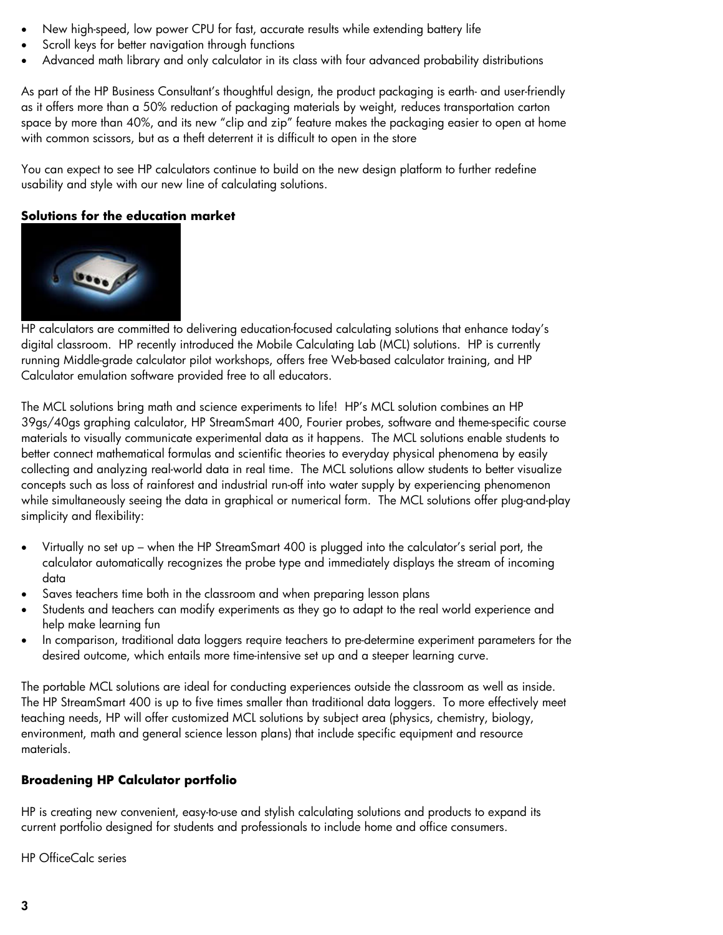- New high-speed, low power CPU for fast, accurate results while extending battery life
- Scroll keys for better navigation through functions
- Advanced math library and only calculator in its class with four advanced probability distributions

As part of the HP Business Consultant's thoughtful design, the product packaging is earth- and user-friendly as it offers more than a 50% reduction of packaging materials by weight, reduces transportation carton space by more than 40%, and its new "clip and zip" feature makes the packaging easier to open at home with common scissors, but as a theft deterrent it is difficult to open in the store

You can expect to see HP calculators continue to build on the new design platform to further redefine usability and style with our new line of calculating solutions.

# **Solutions for the education market**



HP calculators are committed to delivering education-focused calculating solutions that enhance today's digital classroom. HP recently introduced the Mobile Calculating Lab (MCL) solutions. HP is currently running Middle-grade calculator pilot workshops, offers free Web-based calculator training, and HP Calculator emulation software provided free to all educators.

The MCL solutions bring math and science experiments to life! HP's MCL solution combines an HP 39gs/40gs graphing calculator, HP StreamSmart 400, Fourier probes, software and theme-specific course materials to visually communicate experimental data as it happens. The MCL solutions enable students to better connect mathematical formulas and scientific theories to everyday physical phenomena by easily collecting and analyzing real-world data in real time. The MCL solutions allow students to better visualize concepts such as loss of rainforest and industrial run-off into water supply by experiencing phenomenon while simultaneously seeing the data in graphical or numerical form. The MCL solutions offer plug-and-play simplicity and flexibility:

- Virtually no set up when the HP StreamSmart 400 is plugged into the calculator's serial port, the calculator automatically recognizes the probe type and immediately displays the stream of incoming data
- Saves teachers time both in the classroom and when preparing lesson plans
- Students and teachers can modify experiments as they go to adapt to the real world experience and help make learning fun
- In comparison, traditional data loggers require teachers to pre-determine experiment parameters for the desired outcome, which entails more time-intensive set up and a steeper learning curve.

The portable MCL solutions are ideal for conducting experiences outside the classroom as well as inside. The HP StreamSmart 400 is up to five times smaller than traditional data loggers. To more effectively meet teaching needs, HP will offer customized MCL solutions by subject area (physics, chemistry, biology, environment, math and general science lesson plans) that include specific equipment and resource materials.

# **Broadening HP Calculator portfolio**

HP is creating new convenient, easy-to-use and stylish calculating solutions and products to expand its current portfolio designed for students and professionals to include home and office consumers.

HP OfficeCalc series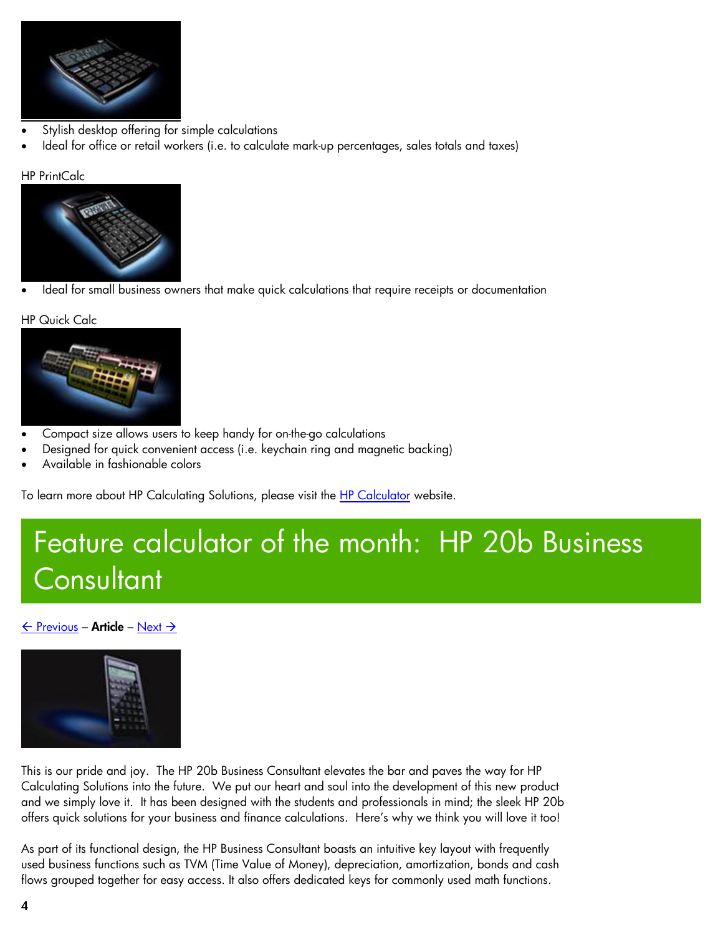<span id="page-3-1"></span><span id="page-3-0"></span>

- Stylish desktop offering for simple calculations
- Ideal for office or retail workers (i.e. to calculate mark-up percentages, sales totals and taxes)

## HP PrintCalc



• Ideal for small business owners that make quick calculations that require receipts or documentation

### HP Quick Calc



- Compact size allows users to keep handy for on-the-go calculations
- Designed for quick convenient access (i.e. keychain ring and magnetic backing)
- Available in fashionable colors

To learn more about HP Calculating Solutions, please visit the [HP Calculator](http://h20331.www2.hp.com/hpsub/cache/301430-0-0-225-121.html) website.

# Feature calculator of the month: HP 20b Business **Consultant**

## $\leftarrow$  [Previous](#page-1-1) – Article – [Next](#page-4-1)  $\rightarrow$



This is our pride and joy. The HP 20b Business Consultant elevates the bar and paves the way for HP Calculating Solutions into the future. We put our heart and soul into the development of this new product and we simply love it. It has been designed with the students and professionals in mind; the sleek HP 20b offers quick solutions for your business and finance calculations. Here's why we think you will love it too!

As part of its functional design, the HP Business Consultant boasts an intuitive key layout with frequently used business functions such as TVM (Time Value of Money), depreciation, amortization, bonds and cash flows grouped together for easy access. It also offers dedicated keys for commonly used math functions.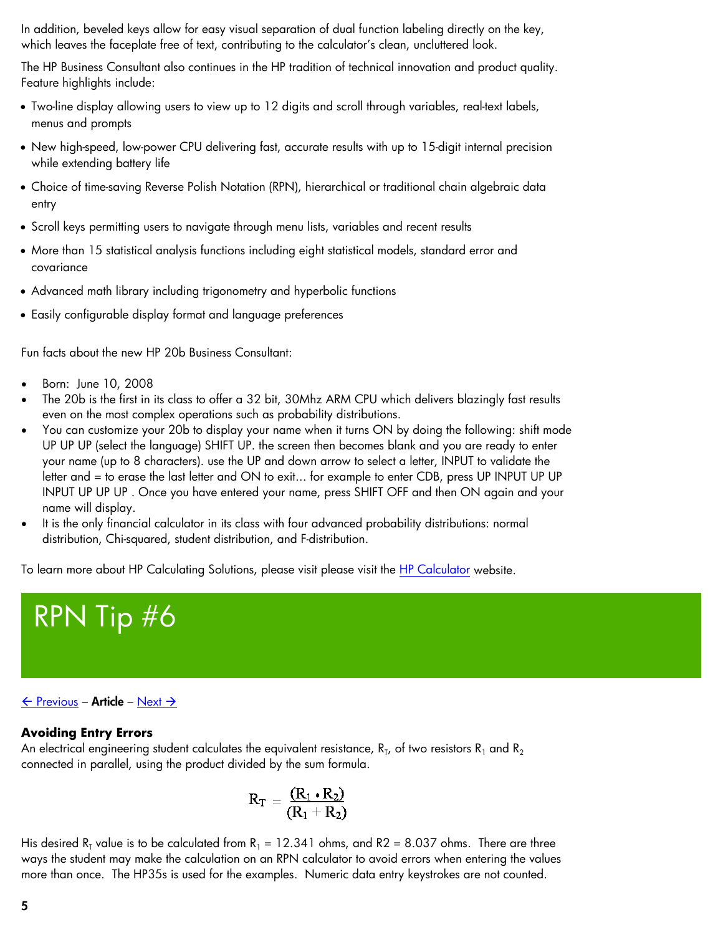<span id="page-4-1"></span><span id="page-4-0"></span>In addition, beveled keys allow for easy visual separation of dual function labeling directly on the key, which leaves the faceplate free of text, contributing to the calculator's clean, uncluttered look.

The HP Business Consultant also continues in the HP tradition of technical innovation and product quality. Feature highlights include:

- Two-line display allowing users to view up to 12 digits and scroll through variables, real-text labels, menus and prompts
- New high-speed, low-power CPU delivering fast, accurate results with up to 15-digit internal precision while extending battery life
- Choice of time-saving Reverse Polish Notation (RPN), hierarchical or traditional chain algebraic data entry
- Scroll keys permitting users to navigate through menu lists, variables and recent results
- More than 15 statistical analysis functions including eight statistical models, standard error and covariance
- Advanced math library including trigonometry and hyperbolic functions
- Easily configurable display format and language preferences

Fun facts about the new HP 20b Business Consultant:

- Born: June 10, 2008
- The 20b is the first in its class to offer a 32 bit, 30Mhz ARM CPU which delivers blazingly fast results even on the most complex operations such as probability distributions.
- You can customize your 20b to display your name when it turns ON by doing the following: shift mode UP UP UP (select the language) SHIFT UP. the screen then becomes blank and you are ready to enter your name (up to 8 characters). use the UP and down arrow to select a letter, INPUT to validate the letter and = to erase the last letter and ON to exit... for example to enter CDB, press UP INPUT UP UP INPUT UP UP UP . Once you have entered your name, press SHIFT OFF and then ON again and your name will display.
- It is the only financial calculator in its class with four advanced probability distributions: normal distribution, Chi-squared, student distribution, and F-distribution.

To learn more about HP Calculating Solutions, please visit please visit the [HP Calculator](http://h20331.www2.hp.com/hpsub/cache/301430-0-0-225-121.html) website.



## $\leftarrow$  [Previous](#page-3-1) – Article – [Next](#page-6-1)  $\rightarrow$

## **Avoiding Entry Errors**

An electrical engineering student calculates the equivalent resistance,  $R_{\text{L}}$ , of two resistors  $R_1$  and  $R_2$ connected in parallel, using the product divided by the sum formula.

$$
R_T=\frac{(R_1\boldsymbol{\cdot} R_2)}{(R_1+R_2)}
$$

His desired R<sub>T</sub> value is to be calculated from R<sub>1</sub> = 12.341 ohms, and R2 = 8.037 ohms. There are three ways the student may make the calculation on an RPN calculator to avoid errors when entering the values more than once. The HP35s is used for the examples. Numeric data entry keystrokes are not counted.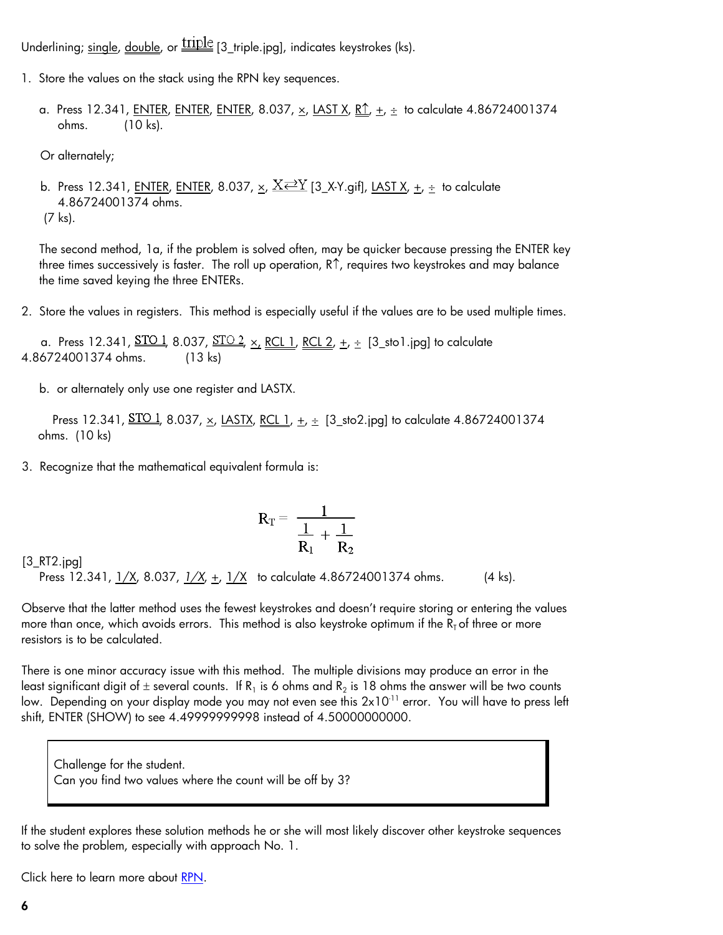Underlining; single, double, or  $\frac{\text{triple}}{\text{13\_triple}}$  [3\_triple.jpg], indicates keystrokes (ks).

- 1. Store the values on the stack using the RPN key sequences.
	- a. Press 12.341, <u>ENTER, ENTER, ENTER</u>, 8.037,  $\times$ , LAST X, <u>R↑, +, ÷</u> to calculate 4.86724001374 ohms. (10 ks).
	- Or alternately;

b. Press 12.341, <u>ENTER</u>, ENTER, 8.037,  $\times$ ,  $\times \times \times$  [3\_X-Y.gif], LAST X,  $\pm$ ,  $\pm$  to calculate 4.86724001374 ohms. (7 ks).

The second method, 1a, if the problem is solved often, may be quicker because pressing the ENTER key three times successively is faster. The roll up operation, R↑, requires two keystrokes and may balance the time saved keying the three ENTERs.

2. Store the values in registers. This method is especially useful if the values are to be used multiple times.

a. Press 12.341,  $\underline{\text{STO 1}}$ , 8.037,  $\underline{\text{STO 2}}$ ,  $\underline{x}$ , <u>RCL 1</u>, <u>RCL 2</u>,  $\underline{+}$ ,  $\underline{+}$  [3\_sto1.jpg] to calculate 4.86724001374 ohms. (13 ks)

b. or alternately only use one register and LASTX.

Press 12.341, <u>STO 1,</u> 8.037, <u>x</u>, <u>LASTX, RCL 1</u>, <u>+, ÷</u> [3\_sto2.jpg] to calculate 4.86724001374 ohms. (10 ks)

3. Recognize that the mathematical equivalent formula is:

$$
R_T = \frac{1}{\frac{1}{R_1}+\frac{1}{R_2}}
$$

### [3\_RT2.jpg]

Press 12.341, <u>1/X</u>, 8.037, <u>1/X, +, 1/X</u> to calculate 4.86724001374 ohms. (4 ks).

Observe that the latter method uses the fewest keystrokes and doesn't require storing or entering the values more than once, which avoids errors. This method is also keystroke optimum if the  $R<sub>T</sub>$  of three or more resistors is to be calculated.

There is one minor accuracy issue with this method. The multiple divisions may produce an error in the least significant digit of  $\pm$  several counts. If R<sub>1</sub> is 6 ohms and R<sub>2</sub> is 18 ohms the answer will be two counts low. Depending on your display mode you may not even see this 2x10<sup>-11</sup> error. You will have to press left shift, ENTER (SHOW) to see 4.49999999998 instead of 4.50000000000.

Challenge for the student. Can you find two values where the count will be off by 3?

If the student explores these solution methods he or she will most likely discover other keystroke sequences to solve the problem, especially with approach No. 1.

Click here to learn more about [RPN](http://www.hp.com/calculators/news/rpn.html).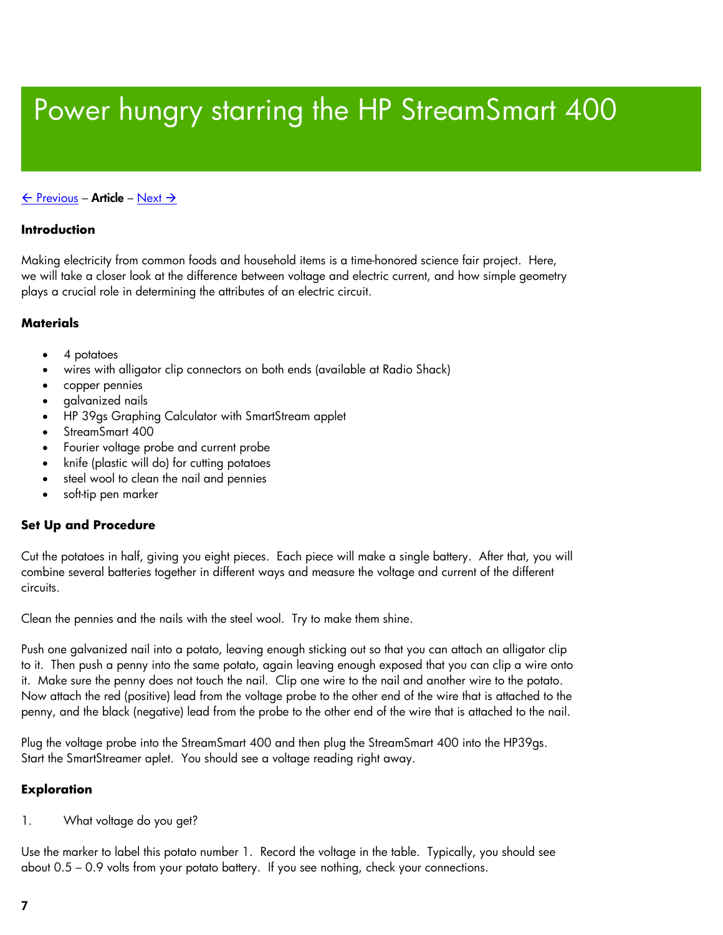# <span id="page-6-1"></span><span id="page-6-0"></span>Power hungry starring the HP StreamSmart 400

## $\leftarrow$  [Previous](#page-4-1) – Article – [Next](#page-9-1)  $\rightarrow$

## **Introduction**

Making electricity from common foods and household items is a time-honored science fair project. Here, we will take a closer look at the difference between voltage and electric current, and how simple geometry plays a crucial role in determining the attributes of an electric circuit.

## **Materials**

- 4 potatoes
- wires with alligator clip connectors on both ends (available at Radio Shack)
- copper pennies
- galvanized nails
- HP 39gs Graphing Calculator with SmartStream applet
- StreamSmart 400
- Fourier voltage probe and current probe
- knife (plastic will do) for cutting potatoes
- steel wool to clean the nail and pennies
- soft-tip pen marker

## **Set Up and Procedure**

Cut the potatoes in half, giving you eight pieces. Each piece will make a single battery. After that, you will combine several batteries together in different ways and measure the voltage and current of the different circuits.

Clean the pennies and the nails with the steel wool. Try to make them shine.

Push one galvanized nail into a potato, leaving enough sticking out so that you can attach an alligator clip to it. Then push a penny into the same potato, again leaving enough exposed that you can clip a wire onto it. Make sure the penny does not touch the nail. Clip one wire to the nail and another wire to the potato. Now attach the red (positive) lead from the voltage probe to the other end of the wire that is attached to the penny, and the black (negative) lead from the probe to the other end of the wire that is attached to the nail.

Plug the voltage probe into the StreamSmart 400 and then plug the StreamSmart 400 into the HP39gs. Start the SmartStreamer aplet. You should see a voltage reading right away.

## **Exploration**

1. What voltage do you get?

Use the marker to label this potato number 1. Record the voltage in the table. Typically, you should see about 0.5 – 0.9 volts from your potato battery. If you see nothing, check your connections.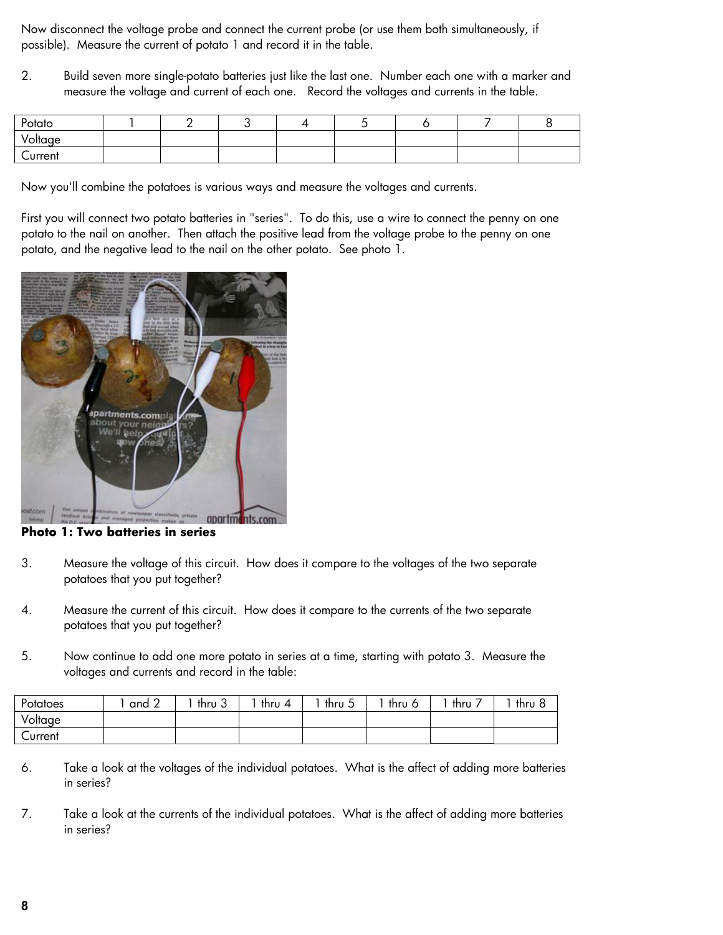Now disconnect the voltage probe and connect the current probe (or use them both simultaneously, if possible). Measure the current of potato 1 and record it in the table.

2. Build seven more single-potato batteries just like the last one. Number each one with a marker and measure the voltage and current of each one. Record the voltages and currents in the table.

| Potato  |  |  |  |  |
|---------|--|--|--|--|
| Voltage |  |  |  |  |
| Current |  |  |  |  |

Now you'll combine the potatoes is various ways and measure the voltages and currents.

First you will connect two potato batteries in "series". To do this, use a wire to connect the penny on one potato to the nail on another. Then attach the positive lead from the voltage probe to the penny on one potato, and the negative lead to the nail on the other potato. See photo 1.



**Photo 1: Two batteries in series** 

- 3. Measure the voltage of this circuit. How does it compare to the voltages of the two separate potatoes that you put together?
- 4. Measure the current of this circuit. How does it compare to the currents of the two separate potatoes that you put together?
- 5. Now continue to add one more potato in series at a time, starting with potato 3. Measure the voltages and currents and record in the table:

| Potatoes | and 2 | $\sim$<br>thru 3 | thru 4 | thru $5$ | thru 6 | ، thru | <sup>າ</sup> thru & |
|----------|-------|------------------|--------|----------|--------|--------|---------------------|
| Voltage  |       |                  |        |          |        |        |                     |
| Current  |       |                  |        |          |        |        |                     |

- 6. Take a look at the voltages of the individual potatoes. What is the affect of adding more batteries in series?
- 7. Take a look at the currents of the individual potatoes. What is the affect of adding more batteries in series?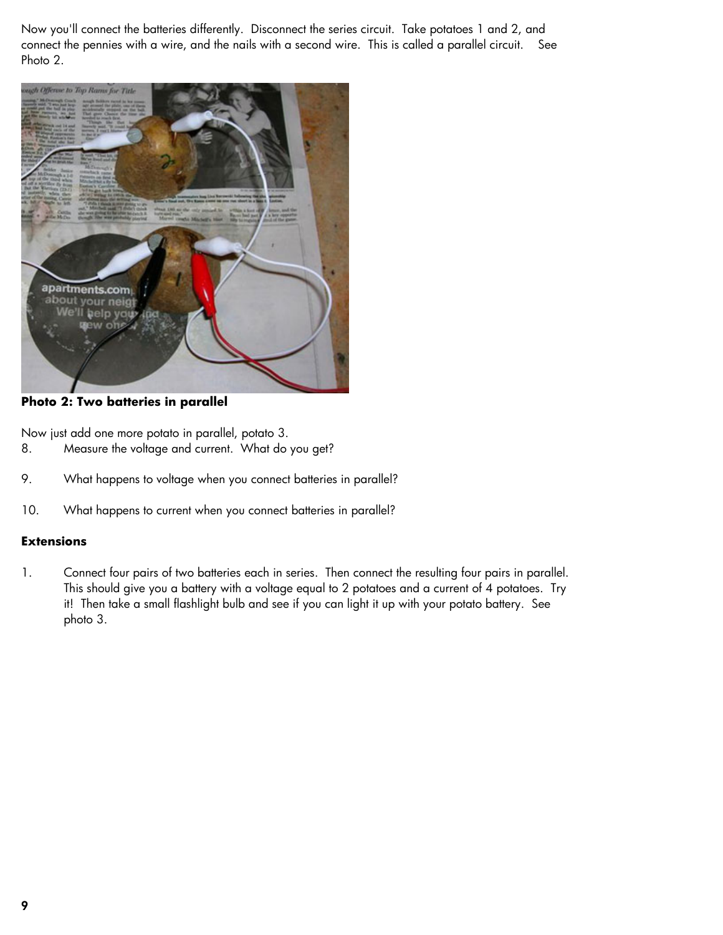Now you'll connect the batteries differently. Disconnect the series circuit. Take potatoes 1 and 2, and connect the pennies with a wire, and the nails with a second wire. This is called a parallel circuit. See Photo 2.



**Photo 2: Two batteries in parallel** 

Now just add one more potato in parallel, potato 3.

- 8. Measure the voltage and current. What do you get?
- 9. What happens to voltage when you connect batteries in parallel?
- 10. What happens to current when you connect batteries in parallel?

## **Extensions**

1. Connect four pairs of two batteries each in series. Then connect the resulting four pairs in parallel. This should give you a battery with a voltage equal to 2 potatoes and a current of 4 potatoes. Try it! Then take a small flashlight bulb and see if you can light it up with your potato battery. See photo 3.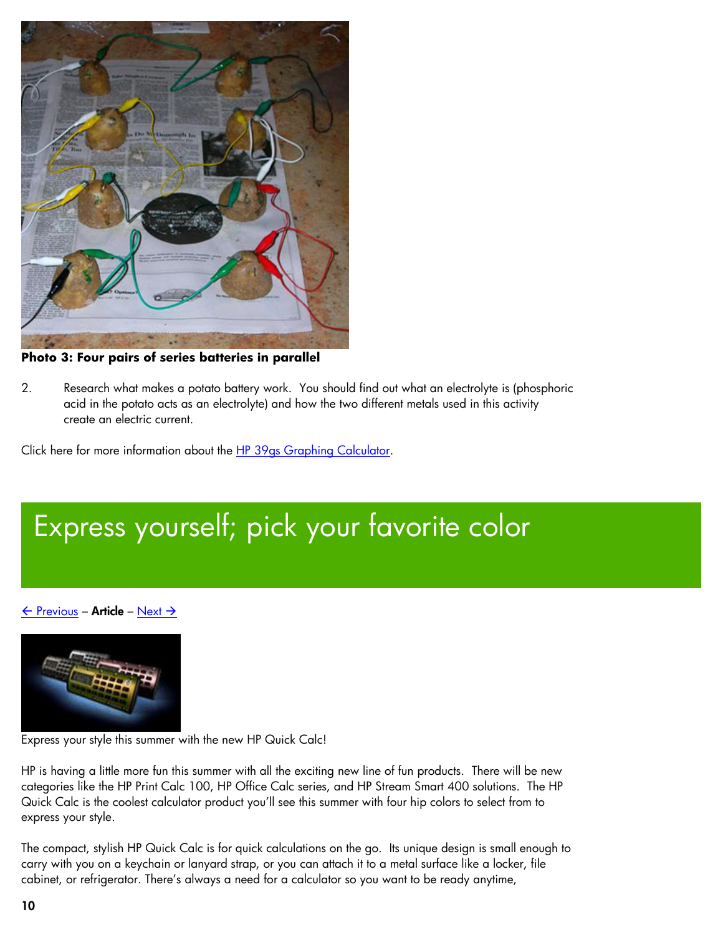<span id="page-9-1"></span><span id="page-9-0"></span>

**Photo 3: Four pairs of series batteries in parallel** 

2. Research what makes a potato battery work. You should find out what an electrolyte is (phosphoric acid in the potato acts as an electrolyte) and how the two different metals used in this activity create an electric current.

Click here for more information about the [HP 39gs Graphing Calculator](http://h10010.www1.hp.com/wwpc/us/en/sm/WF05a/215348-215348-64232-30821-215351-1812520.html).

# Express yourself; pick your favorite color

 $\leftarrow$  [Previous](#page-6-1) – Article – [Next](#page-10-1)  $\rightarrow$ 



Express your style this summer with the new HP Quick Calc!

HP is having a little more fun this summer with all the exciting new line of fun products. There will be new categories like the HP Print Calc 100, HP Office Calc series, and HP Stream Smart 400 solutions. The HP Quick Calc is the coolest calculator product you'll see this summer with four hip colors to select from to express your style.

The compact, stylish HP Quick Calc is for quick calculations on the go. Its unique design is small enough to carry with you on a keychain or lanyard strap, or you can attach it to a metal surface like a locker, file cabinet, or refrigerator. There's always a need for a calculator so you want to be ready anytime,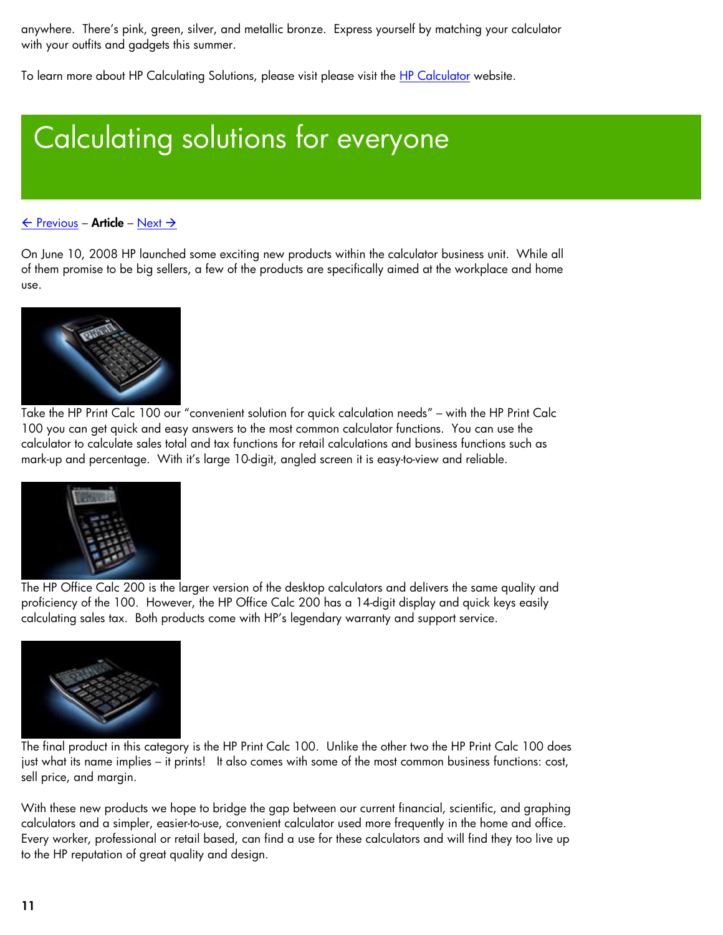<span id="page-10-1"></span><span id="page-10-0"></span>anywhere. There's pink, green, silver, and metallic bronze. Express yourself by matching your calculator with your outfits and gadgets this summer.

To learn more about HP Calculating Solutions, please visit please visit the [HP Calculator](http://h20331.www2.hp.com/hpsub/cache/301430-0-0-225-121.html) website.

# Calculating solutions for everyone

## $\leftarrow$  [Previous](#page-9-1) – Article – [Next](#page-11-1)  $\rightarrow$

On June 10, 2008 HP launched some exciting new products within the calculator business unit. While all of them promise to be big sellers, a few of the products are specifically aimed at the workplace and home use.



Take the HP Print Calc 100 our "convenient solution for quick calculation needs" – with the HP Print Calc 100 you can get quick and easy answers to the most common calculator functions. You can use the calculator to calculate sales total and tax functions for retail calculations and business functions such as mark-up and percentage. With it's large 10-digit, angled screen it is easy-to-view and reliable.



The HP Office Calc 200 is the larger version of the desktop calculators and delivers the same quality and proficiency of the 100. However, the HP Office Calc 200 has a 14-digit display and quick keys easily calculating sales tax. Both products come with HP's legendary warranty and support service.



The final product in this category is the HP Print Calc 100. Unlike the other two the HP Print Calc 100 does just what its name implies – it prints! It also comes with some of the most common business functions: cost, sell price, and margin.

With these new products we hope to bridge the gap between our current financial, scientific, and graphing calculators and a simpler, easier-to-use, convenient calculator used more frequently in the home and office. Every worker, professional or retail based, can find a use for these calculators and will find they too live up to the HP reputation of great quality and design.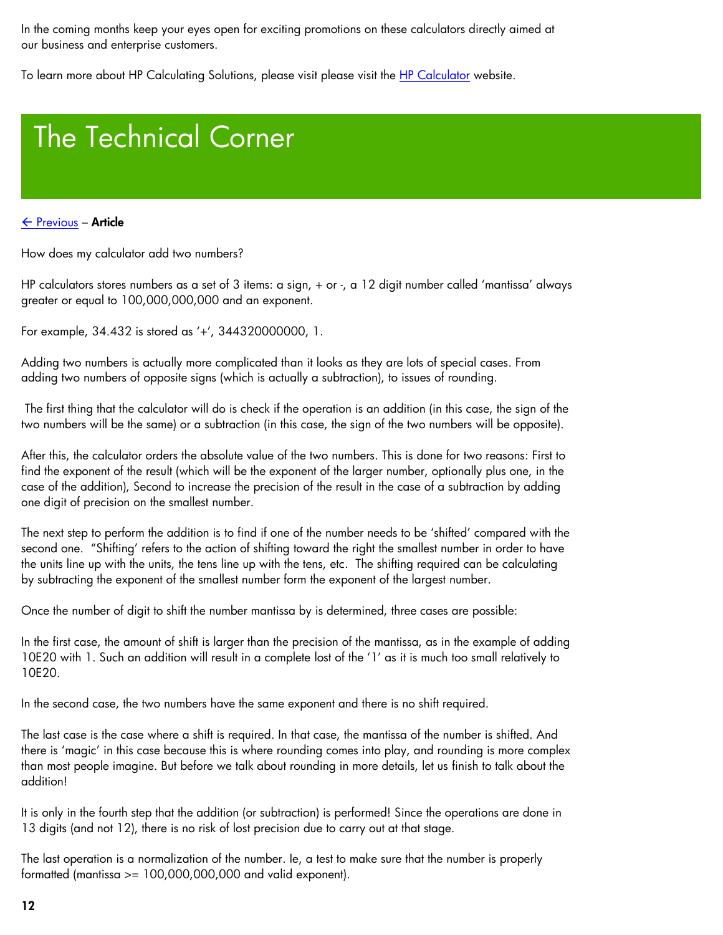<span id="page-11-1"></span><span id="page-11-0"></span>In the coming months keep your eyes open for exciting promotions on these calculators directly aimed at our business and enterprise customers.

To learn more about HP Calculating Solutions, please visit please visit the [HP Calculator](http://h20331.www2.hp.com/hpsub/cache/301430-0-0-225-121.html) website.

# The Technical Corner

## $\leftarrow$  [Previous](#page-10-1) – Article

How does my calculator add two numbers?

HP calculators stores numbers as a set of 3 items: a sign, + or -, a 12 digit number called 'mantissa' always greater or equal to 100,000,000,000 and an exponent.

For example, 34.432 is stored as '+', 344320000000, 1.

Adding two numbers is actually more complicated than it looks as they are lots of special cases. From adding two numbers of opposite signs (which is actually a subtraction), to issues of rounding.

 The first thing that the calculator will do is check if the operation is an addition (in this case, the sign of the two numbers will be the same) or a subtraction (in this case, the sign of the two numbers will be opposite).

After this, the calculator orders the absolute value of the two numbers. This is done for two reasons: First to find the exponent of the result (which will be the exponent of the larger number, optionally plus one, in the case of the addition), Second to increase the precision of the result in the case of a subtraction by adding one digit of precision on the smallest number.

The next step to perform the addition is to find if one of the number needs to be 'shifted' compared with the second one. "Shifting' refers to the action of shifting toward the right the smallest number in order to have the units line up with the units, the tens line up with the tens, etc. The shifting required can be calculating by subtracting the exponent of the smallest number form the exponent of the largest number.

Once the number of digit to shift the number mantissa by is determined, three cases are possible:

In the first case, the amount of shift is larger than the precision of the mantissa, as in the example of adding 10E20 with 1. Such an addition will result in a complete lost of the '1' as it is much too small relatively to 10E20.

In the second case, the two numbers have the same exponent and there is no shift required.

The last case is the case where a shift is required. In that case, the mantissa of the number is shifted. And there is 'magic' in this case because this is where rounding comes into play, and rounding is more complex than most people imagine. But before we talk about rounding in more details, let us finish to talk about the addition!

It is only in the fourth step that the addition (or subtraction) is performed! Since the operations are done in 13 digits (and not 12), there is no risk of lost precision due to carry out at that stage.

The last operation is a normalization of the number. Ie, a test to make sure that the number is properly formatted (mantissa  $> = 100,000,000,000$  and valid exponent).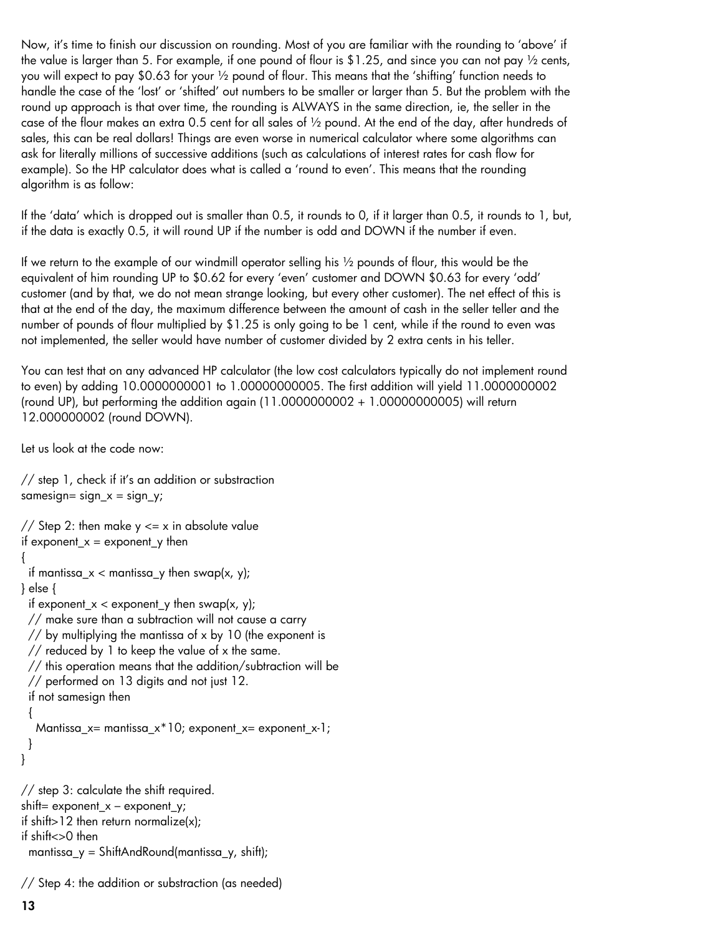Now, it's time to finish our discussion on rounding. Most of you are familiar with the rounding to 'above' if the value is larger than 5. For example, if one pound of flour is \$1.25, and since you can not pay  $\frac{1}{2}$  cents, you will expect to pay \$0.63 for your ½ pound of flour. This means that the 'shifting' function needs to handle the case of the 'lost' or 'shifted' out numbers to be smaller or larger than 5. But the problem with the round up approach is that over time, the rounding is ALWAYS in the same direction, ie, the seller in the case of the flour makes an extra 0.5 cent for all sales of ½ pound. At the end of the day, after hundreds of sales, this can be real dollars! Things are even worse in numerical calculator where some algorithms can ask for literally millions of successive additions (such as calculations of interest rates for cash flow for example). So the HP calculator does what is called a 'round to even'. This means that the rounding algorithm is as follow:

If the 'data' which is dropped out is smaller than 0.5, it rounds to 0, if it larger than 0.5, it rounds to 1, but, if the data is exactly 0.5, it will round UP if the number is odd and DOWN if the number if even.

If we return to the example of our windmill operator selling his ½ pounds of flour, this would be the equivalent of him rounding UP to \$0.62 for every 'even' customer and DOWN \$0.63 for every 'odd' customer (and by that, we do not mean strange looking, but every other customer). The net effect of this is that at the end of the day, the maximum difference between the amount of cash in the seller teller and the number of pounds of flour multiplied by \$1.25 is only going to be 1 cent, while if the round to even was not implemented, the seller would have number of customer divided by 2 extra cents in his teller.

You can test that on any advanced HP calculator (the low cost calculators typically do not implement round to even) by adding 10.0000000001 to 1.00000000005. The first addition will yield 11.0000000002 (round UP), but performing the addition again (11.0000000002 + 1.00000000005) will return 12.000000002 (round DOWN).

Let us look at the code now:

```
// step 1, check if it's an addition or substraction 
samesign= sign x = sign y;
// Step 2: then make y \le x in absolute value
if exponent x = exponent y then
{ 
 if mantissa_x < mantissa_y then swap(x, y);
} else { 
 if exponent_x < exponent_y then swap(x, y);
  // make sure than a subtraction will not cause a carry 
  // by multiplying the mantissa of x by 10 (the exponent is 
  // reduced by 1 to keep the value of x the same. 
  // this operation means that the addition/subtraction will be 
  // performed on 13 digits and not just 12. 
  if not samesign then 
  { 
  Mantissa_x= mantissa_x<sup>*</sup>10; exponent_x= exponent_x-1;
  } 
} 
// step 3: calculate the shift required. 
shift= exponent_x - exponent_y;if shift > 12 then return normalize(x);
if shift<>0 then 
 mantissa_y = ShiftAndRound(mantissa_y, shift);
```
// Step 4: the addition or substraction (as needed)